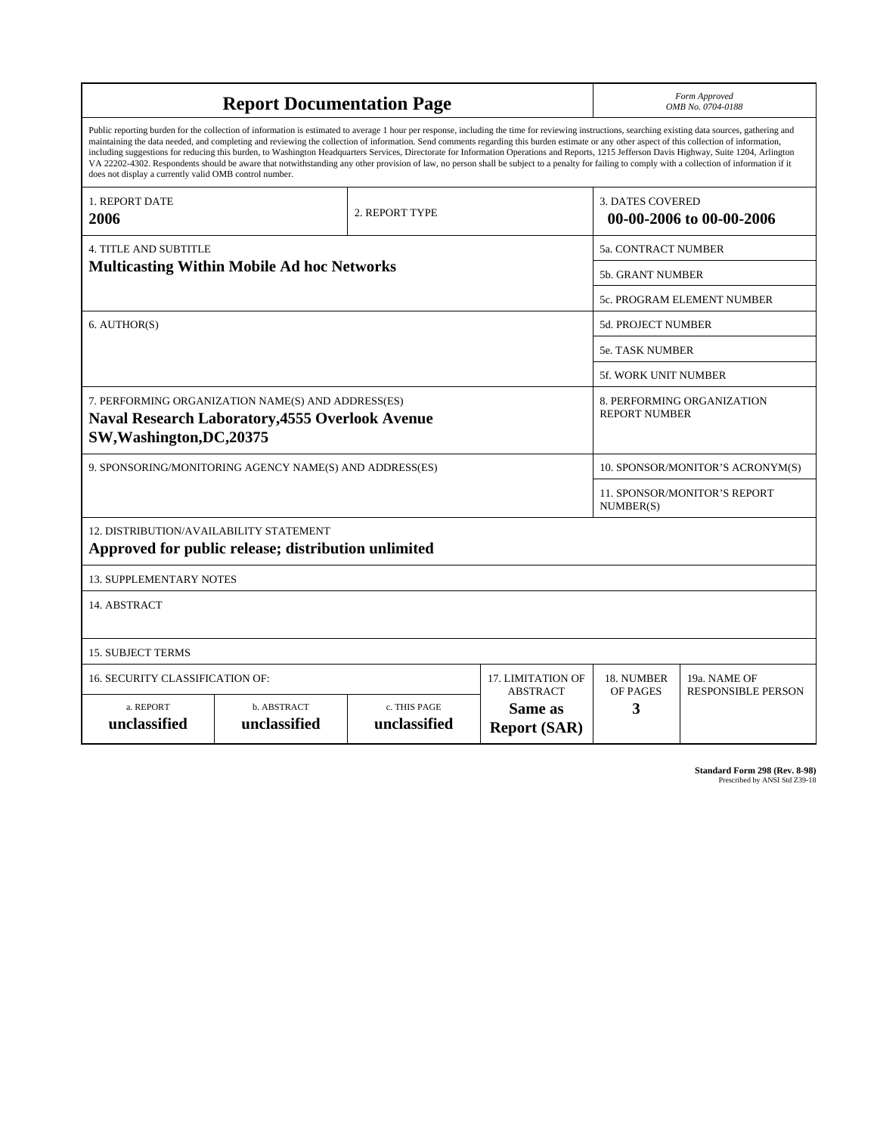| <b>Report Documentation Page</b>                                                                                                                                                                                                                                                                                                                                                                                                                                                                                                                                                                                                                                                                                                                                                                                                                                   |                             |                              |                                                   | Form Approved<br>OMB No. 0704-0188                  |                           |
|--------------------------------------------------------------------------------------------------------------------------------------------------------------------------------------------------------------------------------------------------------------------------------------------------------------------------------------------------------------------------------------------------------------------------------------------------------------------------------------------------------------------------------------------------------------------------------------------------------------------------------------------------------------------------------------------------------------------------------------------------------------------------------------------------------------------------------------------------------------------|-----------------------------|------------------------------|---------------------------------------------------|-----------------------------------------------------|---------------------------|
| Public reporting burden for the collection of information is estimated to average 1 hour per response, including the time for reviewing instructions, searching existing data sources, gathering and<br>maintaining the data needed, and completing and reviewing the collection of information. Send comments regarding this burden estimate or any other aspect of this collection of information,<br>including suggestions for reducing this burden, to Washington Headquarters Services, Directorate for Information Operations and Reports, 1215 Jefferson Davis Highway, Suite 1204, Arlington<br>VA 22202-4302. Respondents should be aware that notwithstanding any other provision of law, no person shall be subject to a penalty for failing to comply with a collection of information if it<br>does not display a currently valid OMB control number. |                             |                              |                                                   |                                                     |                           |
| <b>1. REPORT DATE</b><br>2006                                                                                                                                                                                                                                                                                                                                                                                                                                                                                                                                                                                                                                                                                                                                                                                                                                      |                             | 2. REPORT TYPE               |                                                   | <b>3. DATES COVERED</b><br>00-00-2006 to 00-00-2006 |                           |
| <b>4. TITLE AND SUBTITLE</b>                                                                                                                                                                                                                                                                                                                                                                                                                                                                                                                                                                                                                                                                                                                                                                                                                                       |                             |                              |                                                   | <b>5a. CONTRACT NUMBER</b>                          |                           |
| <b>Multicasting Within Mobile Ad hoc Networks</b>                                                                                                                                                                                                                                                                                                                                                                                                                                                                                                                                                                                                                                                                                                                                                                                                                  |                             |                              |                                                   | 5b. GRANT NUMBER                                    |                           |
|                                                                                                                                                                                                                                                                                                                                                                                                                                                                                                                                                                                                                                                                                                                                                                                                                                                                    |                             |                              |                                                   | 5c. PROGRAM ELEMENT NUMBER                          |                           |
| 6. AUTHOR(S)                                                                                                                                                                                                                                                                                                                                                                                                                                                                                                                                                                                                                                                                                                                                                                                                                                                       |                             |                              |                                                   | 5d. PROJECT NUMBER                                  |                           |
|                                                                                                                                                                                                                                                                                                                                                                                                                                                                                                                                                                                                                                                                                                                                                                                                                                                                    |                             |                              |                                                   | <b>5e. TASK NUMBER</b>                              |                           |
|                                                                                                                                                                                                                                                                                                                                                                                                                                                                                                                                                                                                                                                                                                                                                                                                                                                                    |                             |                              |                                                   | <b>5f. WORK UNIT NUMBER</b>                         |                           |
| 7. PERFORMING ORGANIZATION NAME(S) AND ADDRESS(ES)<br><b>Naval Research Laboratory, 4555 Overlook Avenue</b><br>SW, Washington, DC, 20375                                                                                                                                                                                                                                                                                                                                                                                                                                                                                                                                                                                                                                                                                                                          |                             |                              |                                                   | 8. PERFORMING ORGANIZATION<br><b>REPORT NUMBER</b>  |                           |
| 9. SPONSORING/MONITORING AGENCY NAME(S) AND ADDRESS(ES)                                                                                                                                                                                                                                                                                                                                                                                                                                                                                                                                                                                                                                                                                                                                                                                                            |                             |                              |                                                   | 10. SPONSOR/MONITOR'S ACRONYM(S)                    |                           |
|                                                                                                                                                                                                                                                                                                                                                                                                                                                                                                                                                                                                                                                                                                                                                                                                                                                                    |                             |                              |                                                   | <b>11. SPONSOR/MONITOR'S REPORT</b><br>NUMBER(S)    |                           |
| 12. DISTRIBUTION/AVAILABILITY STATEMENT<br>Approved for public release; distribution unlimited                                                                                                                                                                                                                                                                                                                                                                                                                                                                                                                                                                                                                                                                                                                                                                     |                             |                              |                                                   |                                                     |                           |
| 13. SUPPLEMENTARY NOTES                                                                                                                                                                                                                                                                                                                                                                                                                                                                                                                                                                                                                                                                                                                                                                                                                                            |                             |                              |                                                   |                                                     |                           |
| 14. ABSTRACT                                                                                                                                                                                                                                                                                                                                                                                                                                                                                                                                                                                                                                                                                                                                                                                                                                                       |                             |                              |                                                   |                                                     |                           |
| <b>15. SUBJECT TERMS</b>                                                                                                                                                                                                                                                                                                                                                                                                                                                                                                                                                                                                                                                                                                                                                                                                                                           |                             |                              |                                                   |                                                     |                           |
| 16. SECURITY CLASSIFICATION OF:                                                                                                                                                                                                                                                                                                                                                                                                                                                                                                                                                                                                                                                                                                                                                                                                                                    | 17. LIMITATION OF           | 18. NUMBER                   | 19a. NAME OF                                      |                                                     |                           |
| a. REPORT<br>unclassified                                                                                                                                                                                                                                                                                                                                                                                                                                                                                                                                                                                                                                                                                                                                                                                                                                          | b. ABSTRACT<br>unclassified | c. THIS PAGE<br>unclassified | <b>ABSTRACT</b><br>Same as<br><b>Report (SAR)</b> | OF PAGES<br>3                                       | <b>RESPONSIBLE PERSON</b> |

**Standard Form 298 (Rev. 8-98)**<br>Prescribed by ANSI Std Z39-18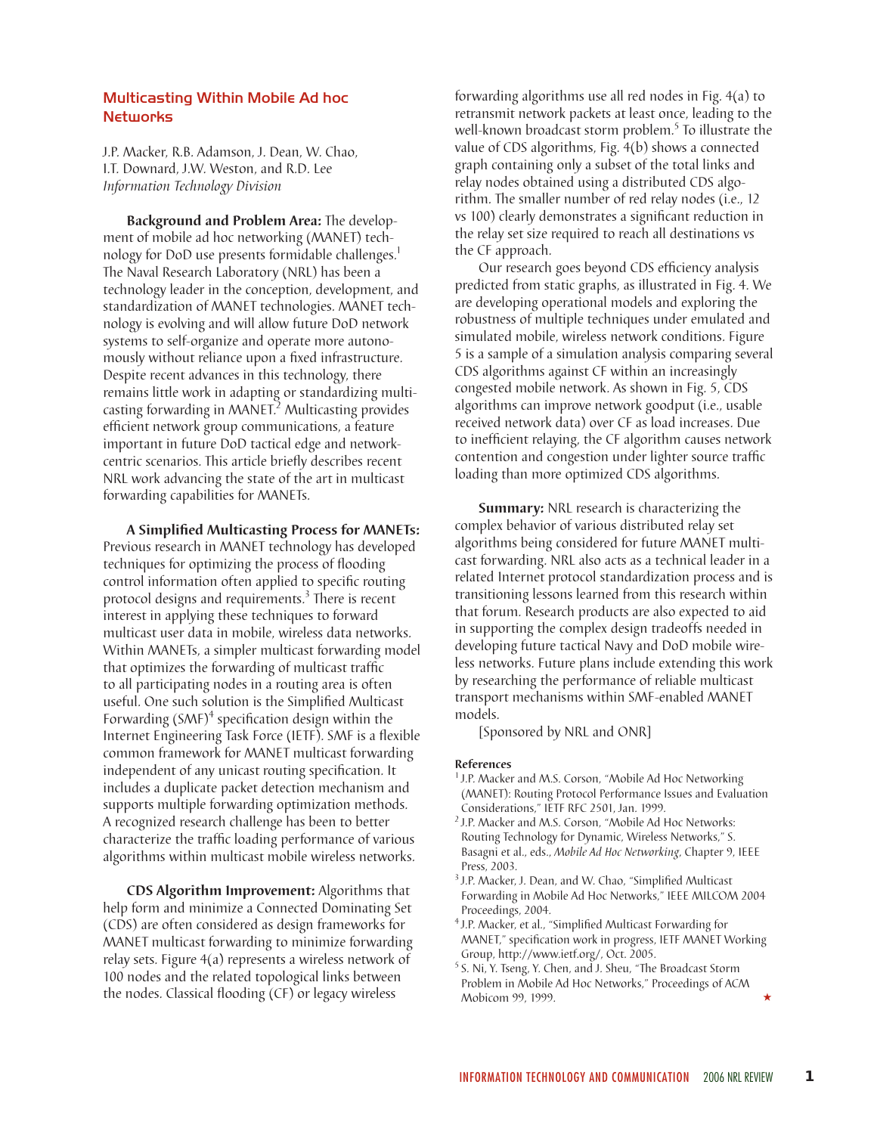## Multicasting Within Mobile Ad hoc **Networks**

J.P. Macker, R.B. Adamson, J. Dean, W. Chao, I.T. Downard, J.W. Weston, and R.D. Lee *Information Technology Division*

**Background and Problem Area:** The development of mobile ad hoc networking (MANET) technology for DoD use presents formidable challenges.<sup>1</sup> The Naval Research Laboratory (NRL) has been a technology leader in the conception, development, and standardization of MANET technologies. MANET technology is evolving and will allow future DoD network systems to self-organize and operate more autonomously without reliance upon a fixed infrastructure. Despite recent advances in this technology, there remains little work in adapting or standardizing multicasting forwarding in MANET.<sup>2</sup> Multicasting provides efficient network group communications, a feature important in future DoD tactical edge and networkcentric scenarios. This article briefly describes recent NRL work advancing the state of the art in multicast forwarding capabilities for MANETs.

**A Simplified Multicasting Process for MANETs:** Previous research in MANET technology has developed techniques for optimizing the process of flooding control information often applied to specific routing protocol designs and requirements.<sup>3</sup> There is recent interest in applying these techniques to forward multicast user data in mobile, wireless data networks. Within MANETs, a simpler multicast forwarding model that optimizes the forwarding of multicast traffic to all participating nodes in a routing area is often useful. One such solution is the Simplified Multicast Forwarding  $(SMF)^4$  specification design within the Internet Engineering Task Force (IETF). SMF is a flexible common framework for MANET multicast forwarding independent of any unicast routing specification. It includes a duplicate packet detection mechanism and supports multiple forwarding optimization methods. A recognized research challenge has been to better characterize the traffic loading performance of various algorithms within multicast mobile wireless networks.

**CDS Algorithm Improvement:** Algorithms that help form and minimize a Connected Dominating Set (CDS) are often considered as design frameworks for MANET multicast forwarding to minimize forwarding relay sets. Figure 4(a) represents a wireless network of 100 nodes and the related topological links between the nodes. Classical flooding (CF) or legacy wireless

forwarding algorithms use all red nodes in Fig. 4(a) to retransmit network packets at least once, leading to the well-known broadcast storm problem. $^5$  To illustrate the value of CDS algorithms, Fig. 4(b) shows a connected graph containing only a subset of the total links and relay nodes obtained using a distributed CDS algorithm. The smaller number of red relay nodes (i.e., 12 vs 100) clearly demonstrates a significant reduction in the relay set size required to reach all destinations vs the CF approach.

Our research goes beyond CDS efficiency analysis predicted from static graphs, as illustrated in Fig. 4. We are developing operational models and exploring the robustness of multiple techniques under emulated and simulated mobile, wireless network conditions. Figure 5 is a sample of a simulation analysis comparing several CDS algorithms against CF within an increasingly congested mobile network. As shown in Fig. 5, CDS algorithms can improve network goodput (i.e., usable received network data) over CF as load increases. Due to inefficient relaying, the CF algorithm causes network contention and congestion under lighter source traffic loading than more optimized CDS algorithms.

**Summary:** NRL research is characterizing the complex behavior of various distributed relay set algorithms being considered for future MANET multicast forwarding. NRL also acts as a technical leader in a related Internet protocol standardization process and is transitioning lessons learned from this research within that forum. Research products are also expected to aid in supporting the complex design tradeoffs needed in developing future tactical Navy and DoD mobile wireless networks. Future plans include extending this work by researching the performance of reliable multicast transport mechanisms within SMF-enabled MANET models.

[Sponsored by NRL and ONR]

## **References**

- <sup>1</sup> J.P. Macker and M.S. Corson, "Mobile Ad Hoc Networking (MANET): Routing Protocol Performance Issues and Evaluation Considerations," IETF RFC 2501, Jan. 1999.
- <sup>2</sup> J.P. Macker and M.S. Corson, "Mobile Ad Hoc Networks: Routing Technology for Dynamic, Wireless Networks," S. Basagni et al., eds., *Mobile Ad Hoc Networking*, Chapter 9, IEEE Press, 2003.
- <sup>3</sup> J.P. Macker, J. Dean, and W. Chao, "Simplified Multicast Forwarding in Mobile Ad Hoc Networks," IEEE MILCOM 2004 Proceedings, 2004.
- <sup>4</sup> J.P. Macker, et al., "Simplified Multicast Forwarding for MANET," specification work in progress, IETF MANET Working Group, http://www.ietf.org/, Oct. 2005.
- <sup>5</sup> S. Ni, Y. Tseng, Y. Chen, and J. Sheu, "The Broadcast Storm Problem in Mobile Ad Hoc Networks," Proceedings of ACM Mobicom 99, 1999. ´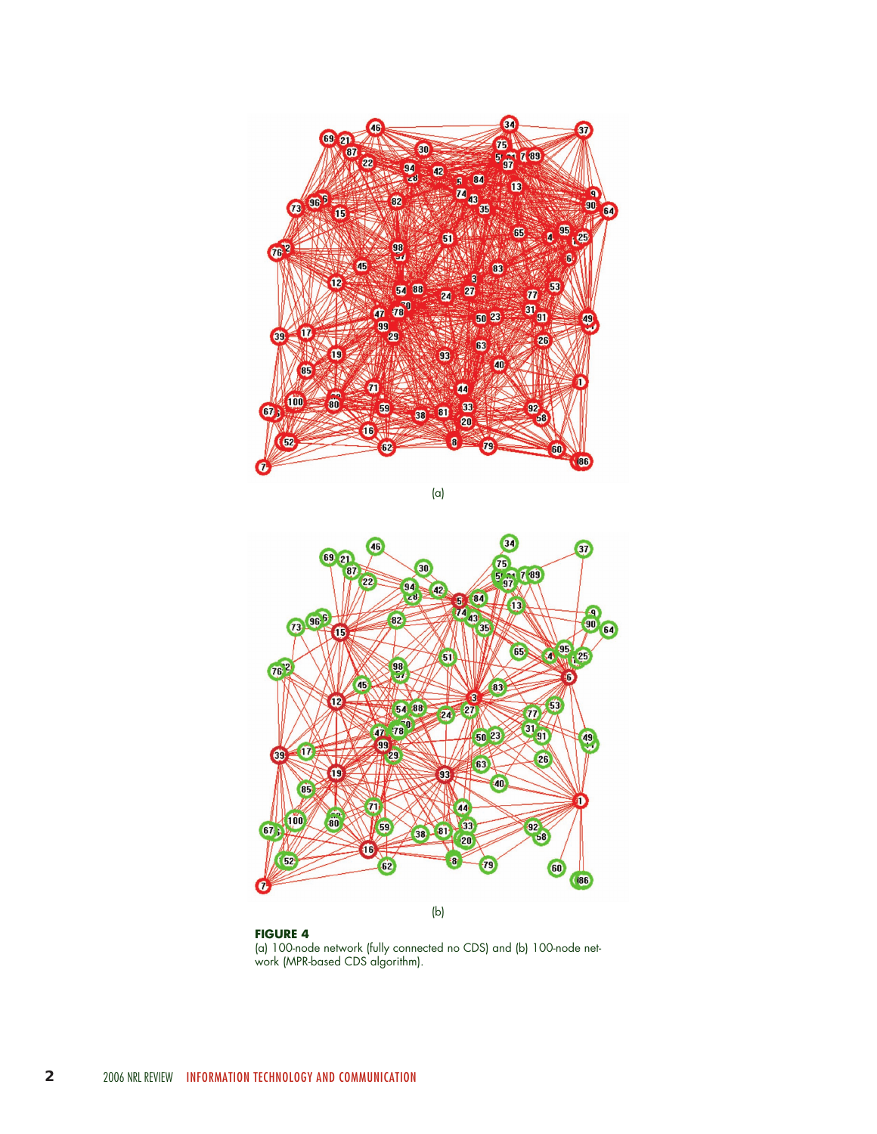

(a)